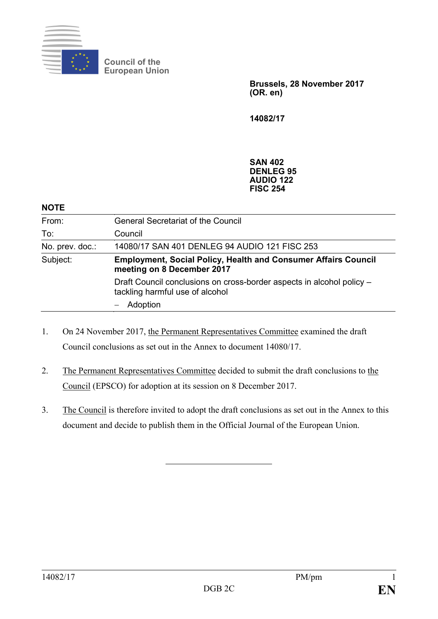

**Council of the European Union**

> **Brussels, 28 November 2017 (OR. en)**

**14082/17**

**SAN 402 DENLEG 95 AUDIO 122 FISC 254**

#### **NOTE**

| <b>Employment, Social Policy, Health and Consumer Affairs Council</b> |
|-----------------------------------------------------------------------|
| Draft Council conclusions on cross-border aspects in alcohol policy - |
|                                                                       |
|                                                                       |

- 1. On 24 November 2017, the Permanent Representatives Committee examined the draft Council conclusions as set out in the Annex to document 14080/17.
- 2. The Permanent Representatives Committee decided to submit the draft conclusions to the Council (EPSCO) for adoption at its session on 8 December 2017.
- 3. The Council is therefore invited to adopt the draft conclusions as set out in the Annex to this document and decide to publish them in the Official Journal of the European Union.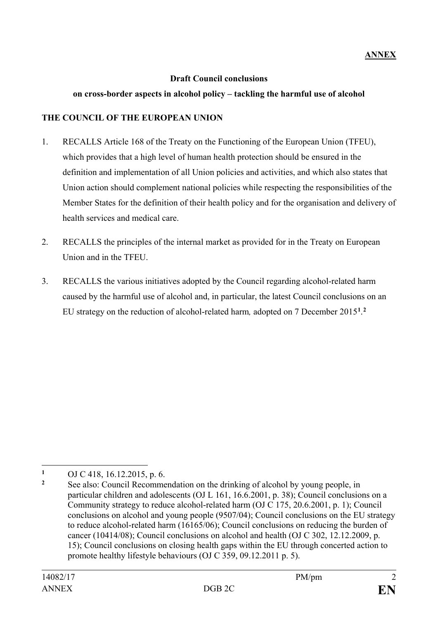### **Draft Council conclusions**

#### **on cross-border aspects in alcohol policy – tackling the harmful use of alcohol**

## **THE COUNCIL OF THE EUROPEAN UNION**

- 1. RECALLS Article 168 of the Treaty on the Functioning of the European Union (TFEU), which provides that a high level of human health protection should be ensured in the definition and implementation of all Union policies and activities, and which also states that Union action should complement national policies while respecting the responsibilities of the Member States for the definition of their health policy and for the organisation and delivery of health services and medical care.
- 2. RECALLS the principles of the internal market as provided for in the Treaty on European Union and in the TFEU.
- 3. RECALLS the various initiatives adopted by the Council regarding alcohol-related harm caused by the harmful use of alcohol and, in particular, the latest Council conclusions on an EU strategy on the reduction of alcohol-related harm*,* adopted on 7 December 2015**[1](#page-1-0)** . **[2](#page-1-1)**

 $\overline{a}$ 

<span id="page-1-0"></span>**<sup>1</sup>** OJ C 418, 16.12.2015, p. 6.

<span id="page-1-1"></span>**<sup>2</sup>** See also: Council Recommendation on the drinking of alcohol by young people, in particular children and adolescents (OJ L 161, 16.6.2001, p. 38); Council conclusions on a Community strategy to reduce alcohol-related harm (OJ C 175, 20.6.2001, p. 1); Council conclusions on alcohol and young people (9507/04); Council conclusions on the EU strategy to reduce alcohol-related harm (16165/06); Council conclusions on reducing the burden of cancer (10414/08); Council conclusions on alcohol and health (OJ C 302, 12.12.2009, p. 15); Council conclusions on closing health gaps within the EU through concerted action to promote healthy lifestyle behaviours (OJ C 359, 09.12.2011 p. 5).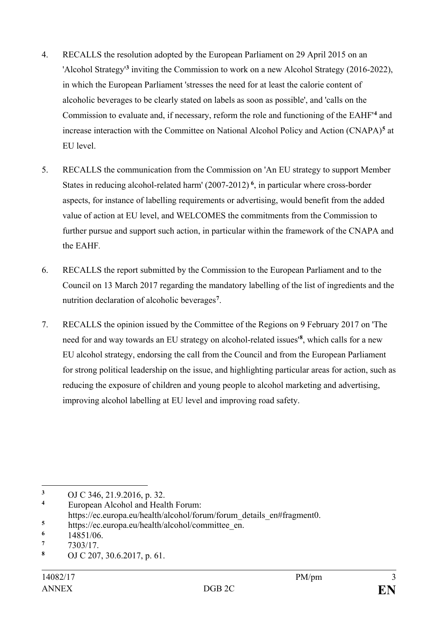- 4. RECALLS the resolution adopted by the European Parliament on 29 April 2015 on an 'Alcohol Strategy' **[3](#page-2-0)** inviting the Commission to work on a new Alcohol Strategy (2016-2022), in which the European Parliament 'stresses the need for at least the calorie content of alcoholic beverages to be clearly stated on labels as soon as possible', and 'calls on the Commission to evaluate and, if necessary, reform the role and functioning of the EAHF' **[4](#page-2-1)** and increase interaction with the Committee on National Alcohol Policy and Action (CNAPA)**[5](#page-2-2)** at EU level.
- 5. RECALLS the communication from the Commission on 'An EU strategy to support Member States in reducing alcohol-related harm' (2007-2012) **[6](#page-2-3)**, in particular where cross-border aspects, for instance of labelling requirements or advertising, would benefit from the added value of action at EU level, and WELCOMES the commitments from the Commission to further pursue and support such action, in particular within the framework of the CNAPA and the EAHF*.*
- 6. RECALLS the report submitted by the Commission to the European Parliament and to the Council on 13 March 2017 regarding the mandatory labelling of the list of ingredients and the nutrition declaration of alcoholic beverages**[7](#page-2-4)** .
- 7. RECALLS the opinion issued by the Committee of the Regions on 9 February 2017 on 'The need for and way towards an EU strategy on alcohol-related issues' **[8](#page-2-5)**, which calls for a new EU alcohol strategy, endorsing the call from the Council and from the European Parliament for strong political leadership on the issue, and highlighting particular areas for action, such as reducing the exposure of children and young people to alcohol marketing and advertising, improving alcohol labelling at EU level and improving road safety.

<span id="page-2-0"></span> $\overline{a}$ **<sup>3</sup>** OJ C 346, 21.9.2016, p. 32.

<span id="page-2-1"></span>**<sup>4</sup>** European Alcohol and Health Forum:

[https://ec.europa.eu/health/alcohol/forum/forum\\_details\\_en#fragment0.](https://ec.europa.eu/health/alcohol/forum/forum_details_en#fragment0)

<span id="page-2-2"></span><sup>&</sup>lt;sup>5</sup> [https://ec.europa.eu/health/alcohol/committee\\_en.](https://ec.europa.eu/health/alcohol/committee_en)<br><sup>6</sup> 14851/06

<span id="page-2-3"></span> $\frac{6}{7}$  14851/06.

<span id="page-2-4"></span> $\frac{7}{8}$  7303/17.

<span id="page-2-5"></span>**<sup>8</sup>** OJ C 207, 30.6.2017, p. 61.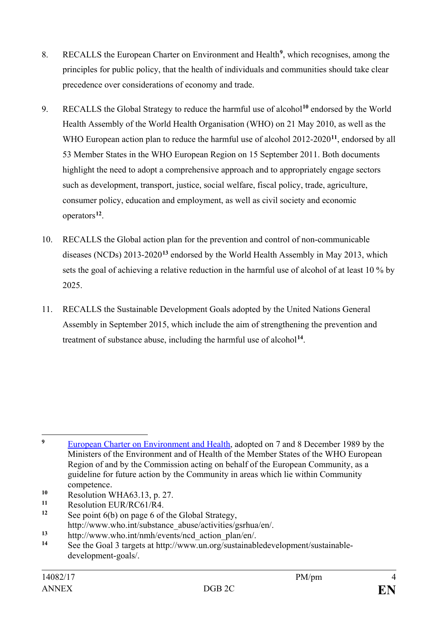- 8. RECALLS the European Charter on Environment and Health**[9](#page-3-0)**, which recognises, among the principles for public policy, that the health of individuals and communities should take clear precedence over considerations of economy and trade.
- 9. RECALLS the Global Strategy to reduce the harmful use of alcohol**[10](#page-3-1)** endorsed by the World Health Assembly of the World Health Organisation (WHO) on 21 May 2010, as well as the WHO European action plan to reduce the harmful use of alcohol 2012-2020**[11](#page-3-2)**, endorsed by all 53 Member States in the WHO European Region on 15 September 2011. Both documents highlight the need to adopt a comprehensive approach and to appropriately engage sectors such as development, transport, justice, social welfare, fiscal policy, trade, agriculture, consumer policy, education and employment, as well as civil society and economic operators**[12](#page-3-3)**.
- 10. RECALLS the Global action plan for the prevention and control of non-communicable diseases (NCDs) 2013-2020**[13](#page-3-4)** endorsed by the World Health Assembly in May 2013, which sets the goal of achieving a relative reduction in the harmful use of alcohol of at least 10 % by 2025.
- 11. RECALLS the Sustainable Development Goals adopted by the United Nations General Assembly in September 2015, which include the aim of strengthening the prevention and treatment of substance abuse, including the harmful use of alcohol**[14](#page-3-5)**.

<span id="page-3-0"></span> $\overline{a}$ <sup>9</sup> [European Charter on Environment and Health,](http://www.euro.who.int/__data/assets/pdf_file/0011/116012/WA3095.pdf) adopted on 7 and 8 December 1989 by the Ministers of the Environment and of Health of the Member States of the WHO European Region of and by the Commission acting on behalf of the European Community, as a guideline for future action by the Community in areas which lie within Community competence.

<span id="page-3-1"></span><sup>10</sup> Resolution WHA63.13, p. 27.<br>11 Posolution EUP/PC61/PA

<span id="page-3-2"></span><sup>&</sup>lt;sup>11</sup> Resolution EUR/RC61/R4.

<span id="page-3-3"></span>See point 6(b) on page 6 of the Global Strategy, [http://www.who.int/substance\\_abuse/activities/gsrhua/en/.](http://www.who.int/substance_abuse/activities/gsrhua/en/)

<span id="page-3-4"></span><sup>13</sup> [http://www.who.int/nmh/events/ncd\\_action\\_plan/en/.](http://www.who.int/nmh/events/ncd_action_plan/en/)<br>14 See the Goal 3 targets at http://www.up.org/sustainabl

<span id="page-3-5"></span>**<sup>14</sup>** See the Goal 3 targets at [http://www.un.org/sustainabledevelopment/sustainable](http://www.un.org/sustainabledevelopment/sustainable-development-goals/)[development-goals/.](http://www.un.org/sustainabledevelopment/sustainable-development-goals/)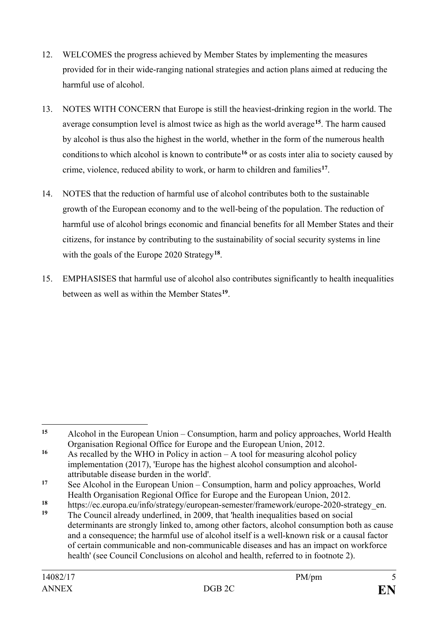- 12. WELCOMES the progress achieved by Member States by implementing the measures provided for in their wide-ranging national strategies and action plans aimed at reducing the harmful use of alcohol.
- 13. NOTES WITH CONCERN that Europe is still the heaviest-drinking region in the world. The average consumption level is almost twice as high as the world average**[15](#page-4-0)**. The harm caused by alcohol is thus also the highest in the world, whether in the form of the numerous health conditionsto which alcohol is known to contribute**[16](#page-4-1)** or as costs inter alia to society caused by crime, violence, reduced ability to work, or harm to children and families**[17](#page-4-2)**.
- 14. NOTES that the reduction of harmful use of alcohol contributes both to the sustainable growth of the European economy and to the well-being of the population. The reduction of harmful use of alcohol brings economic and financial benefits for all Member States and their citizens, for instance by contributing to the sustainability of social security systems in line with the goals of the Europe 2020 Strategy**[18](#page-4-3)**.
- 15. EMPHASISES that harmful use of alcohol also contributes significantly to health inequalities between as well as within the Member States**[19](#page-4-4)**.

<span id="page-4-0"></span> $15$ **<sup>15</sup>** Alcohol in the European Union – [Consumption, harm and policy approaches,](http://www.euro.who.int/__data/assets/pdf_file/0003/160680/e96457.pdf) World Health Organisation Regional Office for Europe and the European Union, 2012.

<span id="page-4-1"></span>**<sup>16</sup>** As recalled by the WHO in Policy in action – [A tool for measuring alcohol policy](http://www.euro.who.int/__data/assets/pdf_file/0006/339837/WHO_Policy-in-Action_indh_VII-2.pdf?ua=1)  [implementation](http://www.euro.who.int/__data/assets/pdf_file/0006/339837/WHO_Policy-in-Action_indh_VII-2.pdf?ua=1) (2017), 'Europe has the highest alcohol consumption and alcoholattributable disease burden in the world'.

<span id="page-4-2"></span>**<sup>17</sup>** See Alcohol in the European Union – [Consumption, harm and policy approaches,](http://www.euro.who.int/__data/assets/pdf_file/0003/160680/e96457.pdf) World Health Organisation Regional Office for Europe and the European Union, 2012.

<span id="page-4-3"></span><sup>18</sup> [https://ec.europa.eu/info/strategy/european-semester/framework/europe-2020-strategy\\_en.](https://ec.europa.eu/info/strategy/european-semester/framework/europe-2020-strategy_en)

<span id="page-4-4"></span>**<sup>19</sup>** The Council already underlined, in 2009, that 'health inequalities based on social determinants are strongly linked to, among other factors, alcohol consumption both as cause and a consequence; the harmful use of alcohol itself is a well-known risk or a causal factor of certain communicable and non-communicable diseases and has an impact on workforce health' (see Council Conclusions on alcohol and health, referred to in footnote 2).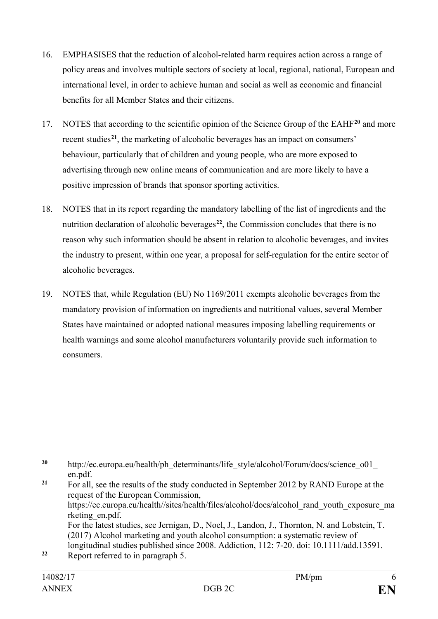- 16. EMPHASISES that the reduction of alcohol-related harm requires action across a range of policy areas and involves multiple sectors of society at local, regional, national, European and international level, in order to achieve human and social as well as economic and financial benefits for all Member States and their citizens.
- 17. NOTES that according to the scientific opinion of the Science Group of the EAHF**[20](#page-5-0)** and more recent studies**[21](#page-5-1)**, the marketing of alcoholic beverages has an impact on consumers' behaviour, particularly that of children and young people, who are more exposed to advertising through new online means of communication and are more likely to have a positive impression of brands that sponsor sporting activities.
- 18. NOTES that in its report regarding the mandatory labelling of the list of ingredients and the nutrition declaration of alcoholic beverages<sup>[22](#page-5-2)</sup>, the Commission concludes that there is no reason why such information should be absent in relation to alcoholic beverages, and invites the industry to present, within one year, a proposal for self-regulation for the entire sector of alcoholic beverages.
- 19. NOTES that, while Regulation (EU) No 1169/2011 exempts alcoholic beverages from the mandatory provision of information on ingredients and nutritional values, several Member States have maintained or adopted national measures imposing labelling requirements or health warnings and some alcohol manufacturers voluntarily provide such information to consumers.

<span id="page-5-2"></span><span id="page-5-1"></span><sup>21</sup> For all, see the results of the study conducted in September 2012 by RAND Europe at the request of the European Commission, [https://ec.europa.eu/health//sites/health/files/alcohol/docs/alcohol\\_rand\\_youth\\_exposure\\_ma](https://ec.europa.eu/health/sites/health/files/alcohol/docs/alcohol_rand_youth_exposure_marketing_en.pdf) [rketing\\_en.pdf.](https://ec.europa.eu/health/sites/health/files/alcohol/docs/alcohol_rand_youth_exposure_marketing_en.pdf) For the latest studies, see Jernigan, D., Noel, J., Landon, J., Thornton, N. and Lobstein, T. (2017) Alcohol marketing and youth alcohol consumption: a systematic review of longitudinal studies published since 2008. Addiction, 112: 7-20. doi: 10.1111/add.13591. **<sup>22</sup>** Report referred to in paragraph 5.

<span id="page-5-0"></span> $20$ [http://ec.europa.eu/health/ph\\_determinants/life\\_style/alcohol/Forum/docs/science\\_o01\\_](http://ec.europa.eu/health/ph_determinants/life_style/alcohol/Forum/docs/science_o01_en.pdf) [en.pdf.](http://ec.europa.eu/health/ph_determinants/life_style/alcohol/Forum/docs/science_o01_en.pdf)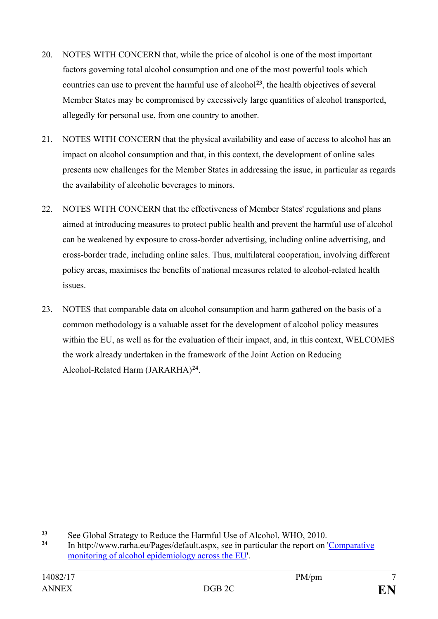- 20. NOTES WITH CONCERN that, while the price of alcohol is one of the most important factors governing total alcohol consumption and one of the most powerful tools which countries can use to prevent the harmful use of alcohol**[23](#page-6-0)**, the health objectives of several Member States may be compromised by excessively large quantities of alcohol transported, allegedly for personal use, from one country to another.
- 21. NOTES WITH CONCERN that the physical availability and ease of access to alcohol has an impact on alcohol consumption and that, in this context, the development of online sales presents new challenges for the Member States in addressing the issue, in particular as regards the availability of alcoholic beverages to minors.
- 22. NOTES WITH CONCERN that the effectiveness of Member States' regulations and plans aimed at introducing measures to protect public health and prevent the harmful use of alcohol can be weakened by exposure to cross-border advertising, including online advertising, and cross-border trade, including online sales. Thus, multilateral cooperation, involving different policy areas, maximises the benefits of national measures related to alcohol-related health issues.
- 23. NOTES that comparable data on alcohol consumption and harm gathered on the basis of a common methodology is a valuable asset for the development of alcohol policy measures within the EU, as well as for the evaluation of their impact, and, in this context, WELCOMES the work already undertaken in the framework of the Joint Action on Reducing Alcohol-Related Harm (JARARHA)**[24](#page-6-1)**.

<span id="page-6-0"></span> $\overline{a}$ <sup>23</sup> See Global Strategy to Reduce the Harmful Use of Alcohol, WHO, 2010.

<span id="page-6-1"></span>**<sup>24</sup>** In [http://www.rarha.eu/Pages/default.aspx,](http://www.rarha.eu/Pages/default.aspx) see in particular the report on ['Comparative](http://www.rarha.eu/NewsEvents/LatestNews/Lists/LatestNews/Attachments/36/Comparative%20monitoring%20%20of%20alcohol%20epidemiology%20%20across%20the%20EU%20%E2%80%93%2027.02.pdf)  [monitoring of alcohol epidemiology across the EU'.](http://www.rarha.eu/NewsEvents/LatestNews/Lists/LatestNews/Attachments/36/Comparative%20monitoring%20%20of%20alcohol%20epidemiology%20%20across%20the%20EU%20%E2%80%93%2027.02.pdf)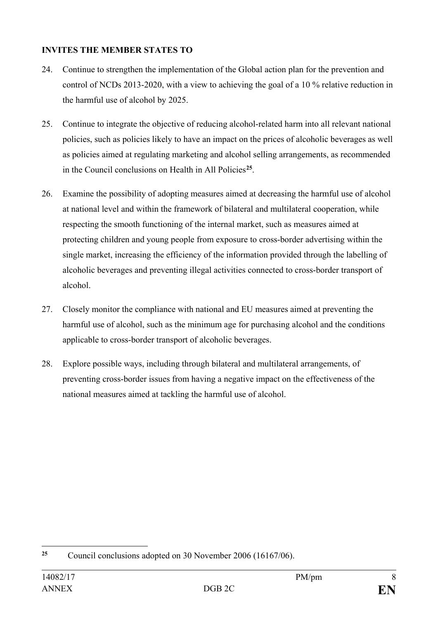# **INVITES THE MEMBER STATES TO**

- 24. Continue to strengthen the implementation of the Global action plan for the prevention and control of NCDs 2013-2020, with a view to achieving the goal of a 10 % relative reduction in the harmful use of alcohol by 2025.
- 25. Continue to integrate the objective of reducing alcohol-related harm into all relevant national policies, such as policies likely to have an impact on the prices of alcoholic beverages as well as policies aimed at regulating marketing and alcohol selling arrangements, as recommended in the Council conclusions on Health in All Policies**[25](#page-7-0)**.
- 26. Examine the possibility of adopting measures aimed at decreasing the harmful use of alcohol at national level and within the framework of bilateral and multilateral cooperation, while respecting the smooth functioning of the internal market, such as measures aimed at protecting children and young people from exposure to cross-border advertising within the single market, increasing the efficiency of the information provided through the labelling of alcoholic beverages and preventing illegal activities connected to cross-border transport of alcohol.
- 27. Closely monitor the compliance with national and EU measures aimed at preventing the harmful use of alcohol, such as the minimum age for purchasing alcohol and the conditions applicable to cross-border transport of alcoholic beverages.
- 28. Explore possible ways, including through bilateral and multilateral arrangements, of preventing cross-border issues from having a negative impact on the effectiveness of the national measures aimed at tackling the harmful use of alcohol.

<span id="page-7-0"></span><sup>25</sup> **<sup>25</sup>** Council conclusions adopted on 30 November 2006 (16167/06).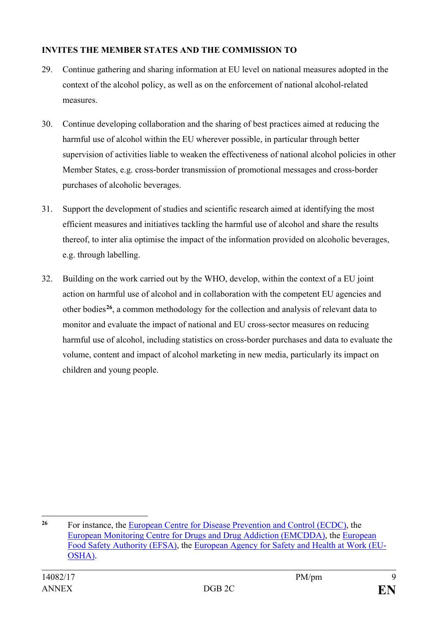# **INVITES THE MEMBER STATES AND THE COMMISSION TO**

- 29. Continue gathering and sharing information at EU level on national measures adopted in the context of the alcohol policy, as well as on the enforcement of national alcohol-related measures.
- 30. Continue developing collaboration and the sharing of best practices aimed at reducing the harmful use of alcohol within the EU wherever possible, in particular through better supervision of activities liable to weaken the effectiveness of national alcohol policies in other Member States, e.g. cross-border transmission of promotional messages and cross-border purchases of alcoholic beverages.
- 31. Support the development of studies and scientific research aimed at identifying the most efficient measures and initiatives tackling the harmful use of alcohol and share the results thereof, to inter alia optimise the impact of the information provided on alcoholic beverages, e.g. through labelling.
- 32. Building on the work carried out by the WHO, develop, within the context of a EU joint action on harmful use of alcohol and in collaboration with the competent EU agencies and other bodies**[26](#page-8-0)**, a common methodology for the collection and analysis of relevant data to monitor and evaluate the impact of national and EU cross-sector measures on reducing harmful use of alcohol, including statistics on cross-border purchases and data to evaluate the volume, content and impact of alcohol marketing in new media, particularly its impact on children and young people.

<span id="page-8-0"></span> $\overline{a}$ **<sup>26</sup>** For instance, the [European Centre for Disease Prevention and Control \(ECDC\),](https://ecdc.europa.eu/en) the [European Monitoring Centre for Drugs and Drug Addiction \(EMCDDA\),](http://www.emcdda.europa.eu/) the [European](https://www.efsa.europa.eu/)  [Food Safety Authority](https://www.efsa.europa.eu/) (EFSA), the [European Agency for Safety and Health at Work \(EU-](https://osha.europa.eu/en)[OSHA\).](https://osha.europa.eu/en)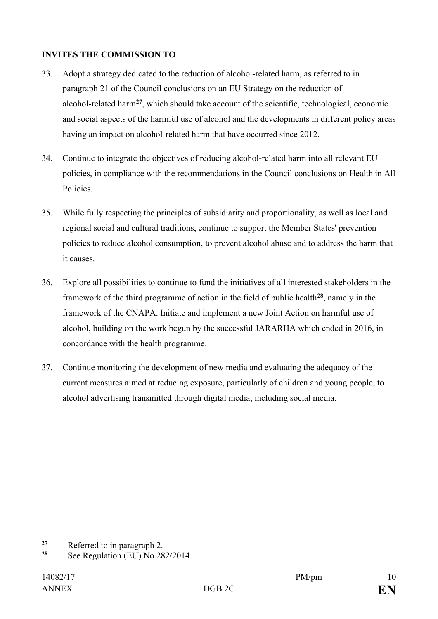## **INVITES THE COMMISSION TO**

- 33. Adopt a strategy dedicated to the reduction of alcohol-related harm, as referred to in paragraph 21 of the Council conclusions on an EU Strategy on the reduction of alcohol-related harm**[27](#page-9-0)**, which should take account of the scientific, technological, economic and social aspects of the harmful use of alcohol and the developments in different policy areas having an impact on alcohol-related harm that have occurred since 2012.
- 34. Continue to integrate the objectives of reducing alcohol-related harm into all relevant EU policies, in compliance with the recommendations in the Council conclusions on Health in All Policies.
- 35. While fully respecting the principles of subsidiarity and proportionality, as well as local and regional social and cultural traditions, continue to support the Member States' prevention policies to reduce alcohol consumption, to prevent alcohol abuse and to address the harm that it causes.
- 36. Explore all possibilities to continue to fund the initiatives of all interested stakeholders in the framework of the third programme of action in the field of public health**[28](#page-9-1)**, namely in the framework of the CNAPA. Initiate and implement a new Joint Action on harmful use of alcohol, building on the work begun by the successful JARARHA which ended in 2016, in concordance with the health programme.
- 37. Continue monitoring the development of new media and evaluating the adequacy of the current measures aimed at reducing exposure, particularly of children and young people, to alcohol advertising transmitted through digital media, including social media.

<span id="page-9-0"></span> $27$ <sup>27</sup> Referred to in paragraph 2.<br><sup>28</sup> See Perulation (EU) No. 29

<span id="page-9-1"></span>**<sup>28</sup>** See Regulation (EU) No 282/2014.